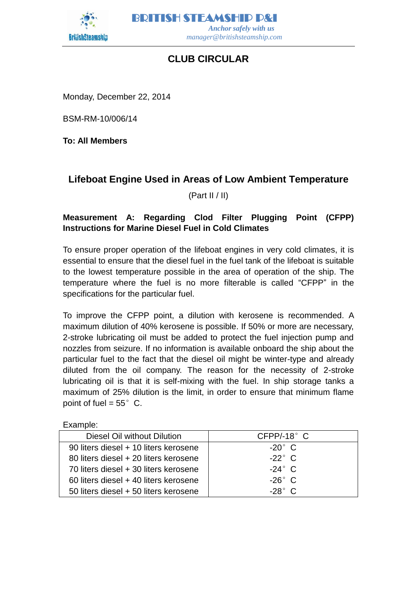

BRITISH STEAMSHIP P&I  *Anchor safely with us manager@britishsteamship.com* 

## **CLUB CIRCULAR**

Monday, December 22, 2014

BSM-RM-10/006/14

**To: All Members**

## **Lifeboat Engine Used in Areas of Low Ambient Temperature**

(Part II / II)

## **Measurement A: Regarding Clod Filter Plugging Point (CFPP) Instructions for Marine Diesel Fuel in Cold Climates**

To ensure proper operation of the lifeboat engines in very cold climates, it is essential to ensure that the diesel fuel in the fuel tank of the lifeboat is suitable to the lowest temperature possible in the area of operation of the ship. The temperature where the fuel is no more filterable is called "CFPP" in the specifications for the particular fuel.

To improve the CFPP point, a dilution with kerosene is recommended. A maximum dilution of 40% kerosene is possible. If 50% or more are necessary, 2-stroke lubricating oil must be added to protect the fuel injection pump and nozzles from seizure. If no information is available onboard the ship about the particular fuel to the fact that the diesel oil might be winter-type and already diluted from the oil company. The reason for the necessity of 2-stroke lubricating oil is that it is self-mixing with the fuel. In ship storage tanks a maximum of 25% dilution is the limit, in order to ensure that minimum flame point of fuel  $= 55^{\circ}$  C.

Example:

| Diesel Oil without Dilution           | $CFPP/-18°$ C  |
|---------------------------------------|----------------|
| 90 liters diesel + 10 liters kerosene | $-20^\circ$ C  |
| 80 liters diesel + 20 liters kerosene | $-22^\circ$ C  |
| 70 liters diesel + 30 liters kerosene | $-24^\circ$ C  |
| 60 liters diesel + 40 liters kerosene | $-26^\circ$ C  |
| 50 liters diesel + 50 liters kerosene | $-28^\circ$ C. |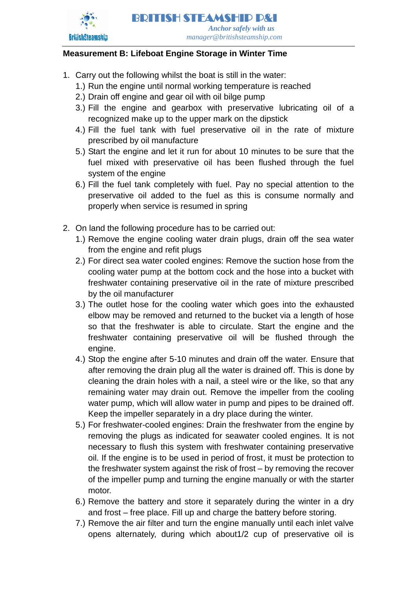

BRITISH STEAMSHIP P&I  *Anchor safely with us manager@britishsteamship.com* 

## **Measurement B: Lifeboat Engine Storage in Winter Time**

- 1. Carry out the following whilst the boat is still in the water:
	- 1.) Run the engine until normal working temperature is reached
	- 2.) Drain off engine and gear oil with oil bilge pump
	- 3.) Fill the engine and gearbox with preservative lubricating oil of a recognized make up to the upper mark on the dipstick
	- 4.) Fill the fuel tank with fuel preservative oil in the rate of mixture prescribed by oil manufacture
	- 5.) Start the engine and let it run for about 10 minutes to be sure that the fuel mixed with preservative oil has been flushed through the fuel system of the engine
	- 6.) Fill the fuel tank completely with fuel. Pay no special attention to the preservative oil added to the fuel as this is consume normally and properly when service is resumed in spring
- 2. On land the following procedure has to be carried out:
	- 1.) Remove the engine cooling water drain plugs, drain off the sea water from the engine and refit plugs
	- 2.) For direct sea water cooled engines: Remove the suction hose from the cooling water pump at the bottom cock and the hose into a bucket with freshwater containing preservative oil in the rate of mixture prescribed by the oil manufacturer
	- 3.) The outlet hose for the cooling water which goes into the exhausted elbow may be removed and returned to the bucket via a length of hose so that the freshwater is able to circulate. Start the engine and the freshwater containing preservative oil will be flushed through the engine.
	- 4.) Stop the engine after 5-10 minutes and drain off the water. Ensure that after removing the drain plug all the water is drained off. This is done by cleaning the drain holes with a nail, a steel wire or the like, so that any remaining water may drain out. Remove the impeller from the cooling water pump, which will allow water in pump and pipes to be drained off. Keep the impeller separately in a dry place during the winter.
	- 5.) For freshwater-cooled engines: Drain the freshwater from the engine by removing the plugs as indicated for seawater cooled engines. It is not necessary to flush this system with freshwater containing preservative oil. If the engine is to be used in period of frost, it must be protection to the freshwater system against the risk of frost – by removing the recover of the impeller pump and turning the engine manually or with the starter motor.
	- 6.) Remove the battery and store it separately during the winter in a dry and frost – free place. Fill up and charge the battery before storing.
	- 7.) Remove the air filter and turn the engine manually until each inlet valve opens alternately, during which about1/2 cup of preservative oil is